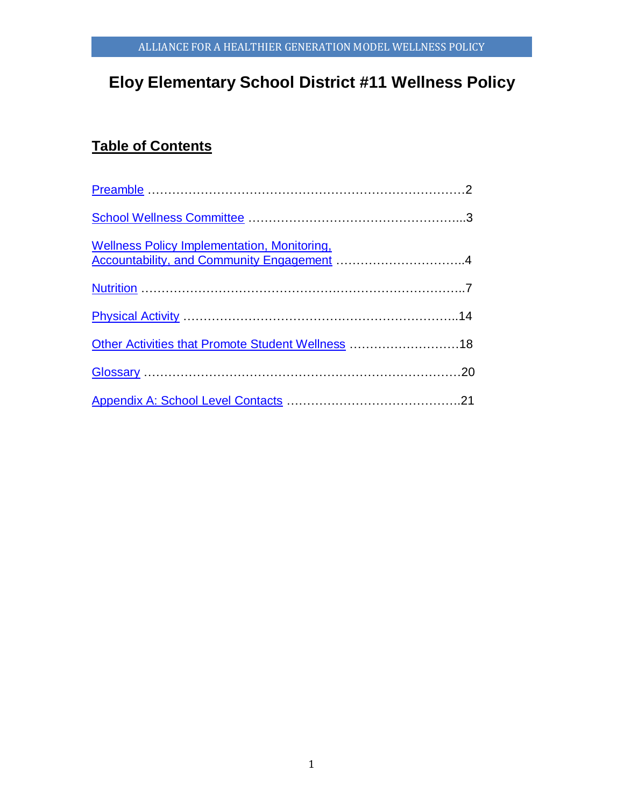# **Eloy Elementary School District #11 Wellness Policy**

# **Table of Contents**

| <u>-- Sincos Loney imprementation, Monitoring,</u><br>Accountability, and Community Engagement 4 |  |
|--------------------------------------------------------------------------------------------------|--|
|                                                                                                  |  |
|                                                                                                  |  |
| Other Activities that Promote Student Wellness 18                                                |  |
|                                                                                                  |  |
|                                                                                                  |  |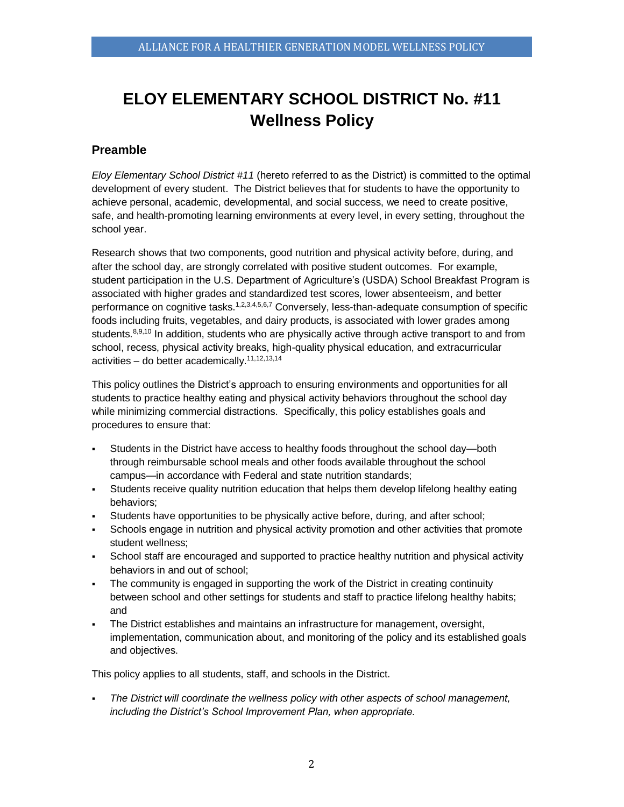# **ELOY ELEMENTARY SCHOOL DISTRICT No. #11 Wellness Policy**

# <span id="page-1-0"></span>**Preamble**

*Eloy Elementary School District #11* (hereto referred to as the District) is committed to the optimal development of every student. The District believes that for students to have the opportunity to achieve personal, academic, developmental, and social success, we need to create positive, safe, and health-promoting learning environments at every level, in every setting, throughout the school year.

Research shows that two components, good nutrition and physical activity before, during, and after the school day, are strongly correlated with positive student outcomes. For example, student participation in the U.S. Department of Agriculture's (USDA) School Breakfast Program is associated with higher grades and standardized test scores, lower absenteeism, and better performance on cognitive tasks.<sup>1,2,3,4,5,6,7</sup> Conversely, less-than-adequate consumption of specific foods including fruits, vegetables, and dairy products, is associated with lower grades among students.<sup>8,9,10</sup> In addition, students who are physically active through active transport to and from school, recess, physical activity breaks, high-quality physical education, and extracurricular activities – do better academically.11,12,13,14

This policy outlines the District's approach to ensuring environments and opportunities for all students to practice healthy eating and physical activity behaviors throughout the school day while minimizing commercial distractions. Specifically, this policy establishes goals and procedures to ensure that:

- Students in the District have access to healthy foods throughout the school day—both through reimbursable school meals and other foods available throughout the school campus—in accordance with Federal and state nutrition standards;
- Students receive quality nutrition education that helps them develop lifelong healthy eating behaviors;
- Students have opportunities to be physically active before, during, and after school;
- Schools engage in nutrition and physical activity promotion and other activities that promote student wellness;
- School staff are encouraged and supported to practice healthy nutrition and physical activity behaviors in and out of school;
- The community is engaged in supporting the work of the District in creating continuity between school and other settings for students and staff to practice lifelong healthy habits; and
- The District establishes and maintains an infrastructure for management, oversight, implementation, communication about, and monitoring of the policy and its established goals and objectives.

This policy applies to all students, staff, and schools in the District.

 *The District will coordinate the wellness policy with other aspects of school management, including the District's School Improvement Plan, when appropriate.*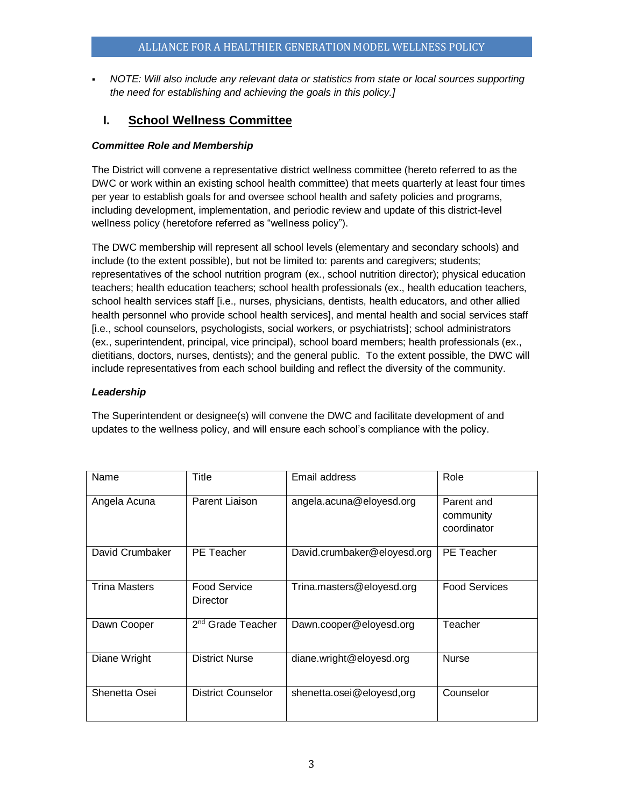*NOTE: Will also include any relevant data or statistics from state or local sources supporting the need for establishing and achieving the goals in this policy.]*

# <span id="page-2-0"></span>**I. School Wellness Committee**

# *Committee Role and Membership*

The District will convene a representative district wellness committee (hereto referred to as the DWC or work within an existing school health committee) that meets quarterly at least four times per year to establish goals for and oversee school health and safety policies and programs, including development, implementation, and periodic review and update of this district-level wellness policy (heretofore referred as "wellness policy").

The DWC membership will represent all school levels (elementary and secondary schools) and include (to the extent possible), but not be limited to: parents and caregivers; students; representatives of the school nutrition program (ex., school nutrition director); physical education teachers; health education teachers; school health professionals (ex., health education teachers, school health services staff [i.e., nurses, physicians, dentists, health educators, and other allied health personnel who provide school health services], and mental health and social services staff [i.e., school counselors, psychologists, social workers, or psychiatrists]; school administrators (ex., superintendent, principal, vice principal), school board members; health professionals (ex., dietitians, doctors, nurses, dentists); and the general public. To the extent possible, the DWC will include representatives from each school building and reflect the diversity of the community.

# *Leadership*

The Superintendent or designee(s) will convene the DWC and facilitate development of and updates to the wellness policy, and will ensure each school's compliance with the policy.

| Name                 | Title                           | Email address               | Role                                   |
|----------------------|---------------------------------|-----------------------------|----------------------------------------|
| Angela Acuna         | Parent Liaison                  | angela.acuna@eloyesd.org    | Parent and<br>community<br>coordinator |
| David Crumbaker      | <b>PE</b> Teacher               | David.crumbaker@eloyesd.org | PE Teacher                             |
| <b>Trina Masters</b> | <b>Food Service</b><br>Director | Trina.masters@eloyesd.org   | <b>Food Services</b>                   |
| Dawn Cooper          | 2 <sup>nd</sup> Grade Teacher   | Dawn.cooper@eloyesd.org     | Teacher                                |
| Diane Wright         | <b>District Nurse</b>           | diane.wright@eloyesd.org    | <b>Nurse</b>                           |
| Shenetta Osei        | <b>District Counselor</b>       | shenetta.osei@eloyesd,org   | Counselor                              |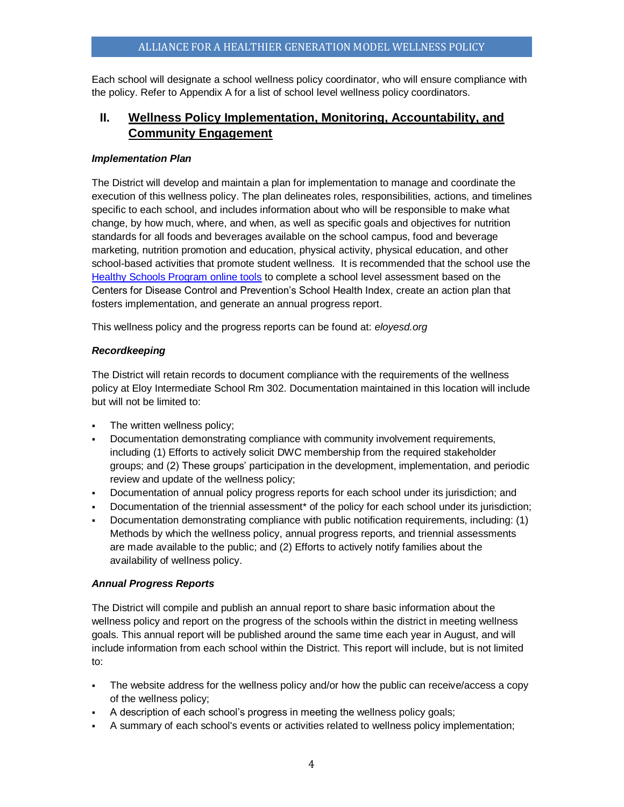Each school will designate a school wellness policy coordinator, who will ensure compliance with the policy. Refer to Appendix A for a list of school level wellness policy coordinators.

# <span id="page-3-0"></span>**II. Wellness Policy Implementation, Monitoring, Accountability, and Community Engagement**

### *Implementation Plan*

The District will develop and maintain a plan for implementation to manage and coordinate the execution of this wellness policy. The plan delineates roles, responsibilities, actions, and timelines specific to each school, and includes information about who will be responsible to make what change, by how much, where, and when, as well as specific goals and objectives for nutrition standards for all foods and beverages available on the school campus, food and beverage marketing, nutrition promotion and education, physical activity, physical education, and other school-based activities that promote student wellness. It is recommended that the school use the [Healthy Schools Program online tools](http://www.schools.healthiergeneration.org/) to complete a school level assessment based on the Centers for Disease Control and Prevention's School Health Index, create an action plan that fosters implementation, and generate an annual progress report.

This wellness policy and the progress reports can be found at: *eloyesd.org*

# *Recordkeeping*

The District will retain records to document compliance with the requirements of the wellness policy at Eloy Intermediate School Rm 302. Documentation maintained in this location will include but will not be limited to:

- The written wellness policy;
- Documentation demonstrating compliance with community involvement requirements, including (1) Efforts to actively solicit DWC membership from the required stakeholder groups; and (2) These groups' participation in the development, implementation, and periodic review and update of the wellness policy;
- Documentation of annual policy progress reports for each school under its jurisdiction; and
- Documentation of the triennial assessment\* of the policy for each school under its jurisdiction;
- Documentation demonstrating compliance with public notification requirements, including: (1) Methods by which the wellness policy, annual progress reports, and triennial assessments are made available to the public; and (2) Efforts to actively notify families about the availability of wellness policy.

# *Annual Progress Reports*

The District will compile and publish an annual report to share basic information about the wellness policy and report on the progress of the schools within the district in meeting wellness goals. This annual report will be published around the same time each year in August, and will include information from each school within the District. This report will include, but is not limited to:

- The website address for the wellness policy and/or how the public can receive/access a copy of the wellness policy;
- A description of each school's progress in meeting the wellness policy goals;
- A summary of each school's events or activities related to wellness policy implementation;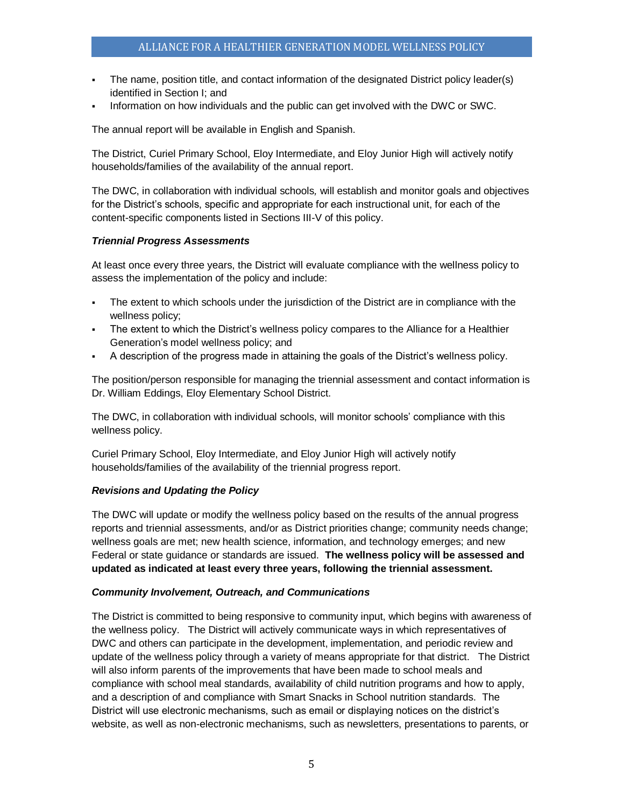- The name, position title, and contact information of the designated District policy leader(s) identified in Section I; and
- Information on how individuals and the public can get involved with the DWC or SWC.

The annual report will be available in English and Spanish.

The District, Curiel Primary School, Eloy Intermediate, and Eloy Junior High will actively notify households/families of the availability of the annual report.

The DWC, in collaboration with individual schools*,* will establish and monitor goals and objectives for the District's schools, specific and appropriate for each instructional unit, for each of the content-specific components listed in Sections III-V of this policy.

#### *Triennial Progress Assessments*

At least once every three years, the District will evaluate compliance with the wellness policy to assess the implementation of the policy and include:

- The extent to which schools under the jurisdiction of the District are in compliance with the wellness policy;
- The extent to which the District's wellness policy compares to the Alliance for a Healthier Generation's model wellness policy; and
- A description of the progress made in attaining the goals of the District's wellness policy.

The position/person responsible for managing the triennial assessment and contact information is Dr. William Eddings, Eloy Elementary School District.

The DWC, in collaboration with individual schools, will monitor schools' compliance with this wellness policy.

Curiel Primary School, Eloy Intermediate, and Eloy Junior High will actively notify households/families of the availability of the triennial progress report.

# *Revisions and Updating the Policy*

The DWC will update or modify the wellness policy based on the results of the annual progress reports and triennial assessments, and/or as District priorities change; community needs change; wellness goals are met; new health science, information, and technology emerges; and new Federal or state guidance or standards are issued. **The wellness policy will be assessed and updated as indicated at least every three years, following the triennial assessment.**

#### *Community Involvement, Outreach, and Communications*

The District is committed to being responsive to community input, which begins with awareness of the wellness policy. The District will actively communicate ways in which representatives of DWC and others can participate in the development, implementation, and periodic review and update of the wellness policy through a variety of means appropriate for that district. The District will also inform parents of the improvements that have been made to school meals and compliance with school meal standards, availability of child nutrition programs and how to apply, and a description of and compliance with Smart Snacks in School nutrition standards. The District will use electronic mechanisms, such as email or displaying notices on the district's website, as well as non-electronic mechanisms, such as newsletters, presentations to parents, or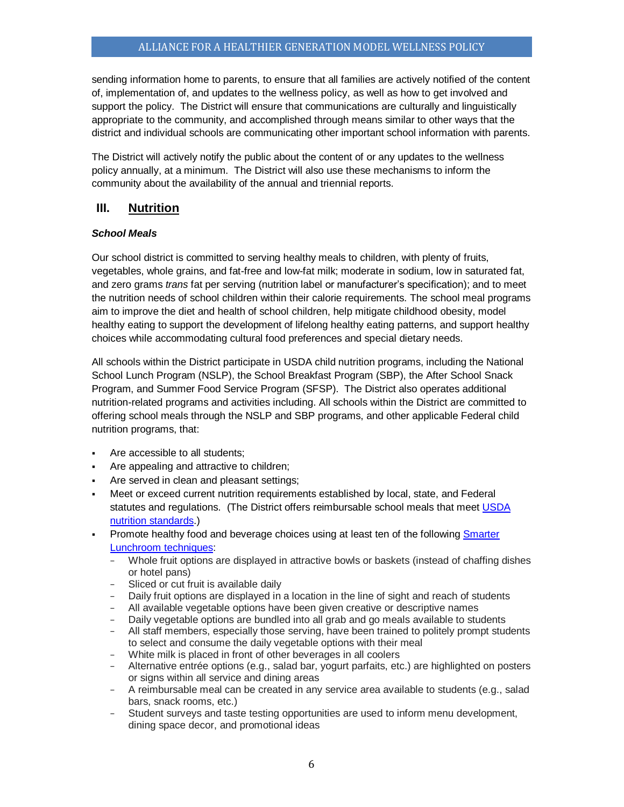sending information home to parents, to ensure that all families are actively notified of the content of, implementation of, and updates to the wellness policy, as well as how to get involved and support the policy. The District will ensure that communications are culturally and linguistically appropriate to the community, and accomplished through means similar to other ways that the district and individual schools are communicating other important school information with parents.

The District will actively notify the public about the content of or any updates to the wellness policy annually, at a minimum. The District will also use these mechanisms to inform the community about the availability of the annual and triennial reports.

# <span id="page-5-0"></span>**III. Nutrition**

# *School Meals*

Our school district is committed to serving healthy meals to children, with plenty of fruits, vegetables, whole grains, and fat-free and low-fat milk; moderate in sodium, low in saturated fat, and zero grams *trans* fat per serving (nutrition label or manufacturer's specification); and to meet the nutrition needs of school children within their calorie requirements. The school meal programs aim to improve the diet and health of school children, help mitigate childhood obesity, model healthy eating to support the development of lifelong healthy eating patterns, and support healthy choices while accommodating cultural food preferences and special dietary needs.

All schools within the District participate in USDA child nutrition programs, including the National School Lunch Program (NSLP), the School Breakfast Program (SBP), the After School Snack Program, and Summer Food Service Program (SFSP). The District also operates additional nutrition-related programs and activities including. All schools within the District are committed to offering school meals through the NSLP and SBP programs, and other applicable Federal child nutrition programs, that:

- Are accessible to all students;
- Are appealing and attractive to children;
- Are served in clean and pleasant settings;
- Meet or exceed current nutrition requirements established by local, state, and Federal statutes and regulations. (The District offers reimbursable school meals that meet [USDA](http://www.fns.usda.gov/school-meals/nutrition-standards-school-meals)  [nutrition standards.](http://www.fns.usda.gov/school-meals/nutrition-standards-school-meals))
- Promote healthy food and beverage choices using at least ten of the following [Smarter](http://smarterlunchrooms.org/ideas)  [Lunchroom techniques:](http://smarterlunchrooms.org/ideas)
	- − Whole fruit options are displayed in attractive bowls or baskets (instead of chaffing dishes or hotel pans)
	- − Sliced or cut fruit is available daily
	- − Daily fruit options are displayed in a location in the line of sight and reach of students
	- − All available vegetable options have been given creative or descriptive names
	- − Daily vegetable options are bundled into all grab and go meals available to students
	- − All staff members, especially those serving, have been trained to politely prompt students to select and consume the daily vegetable options with their meal
	- − White milk is placed in front of other beverages in all coolers
	- − Alternative entrée options (e.g., salad bar, yogurt parfaits, etc.) are highlighted on posters or signs within all service and dining areas
	- − A reimbursable meal can be created in any service area available to students (e.g., salad bars, snack rooms, etc.)
	- − Student surveys and taste testing opportunities are used to inform menu development, dining space decor, and promotional ideas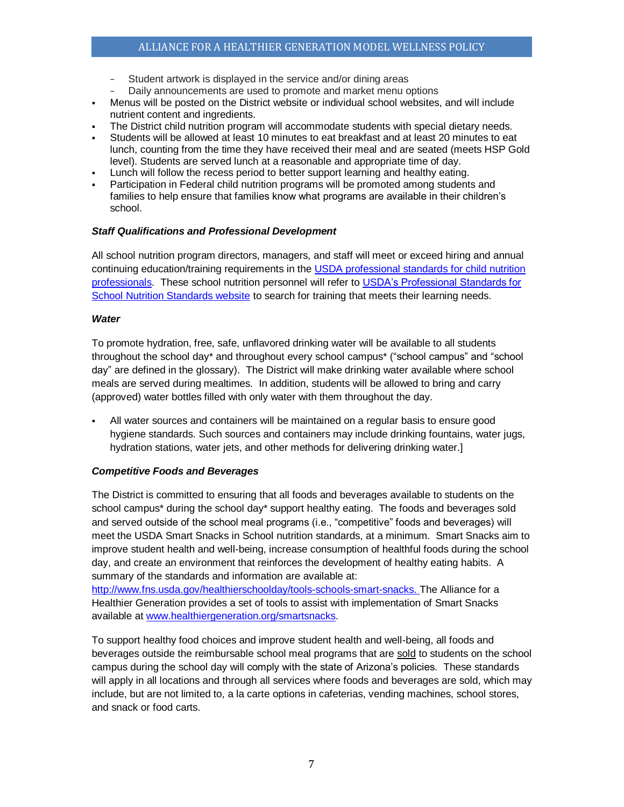- Student artwork is displayed in the service and/or dining areas
- Daily announcements are used to promote and market menu options
- Menus will be posted on the District website or individual school websites, and will include nutrient content and ingredients.
- The District child nutrition program will accommodate students with special dietary needs.
- Students will be allowed at least 10 minutes to eat breakfast and at least 20 minutes to eat lunch, counting from the time they have received their meal and are seated (meets HSP Gold level). Students are served lunch at a reasonable and appropriate time of day.
- Lunch will follow the recess period to better support learning and healthy eating.
- Participation in Federal child nutrition programs will be promoted among students and families to help ensure that families know what programs are available in their children's school.

#### *Staff Qualifications and Professional Development*

All school nutrition program directors, managers, and staff will meet or exceed hiring and annual continuing education/training requirements in the [USDA professional standards for child nutrition](http://www.fns.usda.gov/sites/default/files/CN2014-0130.pdf)  [professionals.](http://www.fns.usda.gov/sites/default/files/CN2014-0130.pdf) These school nutrition personnel will refer t[o USDA's Professional Standards for](http://professionalstandards.nal.usda.gov/)  [School Nutrition Standards website](http://professionalstandards.nal.usda.gov/) to search for training that meets their learning needs.

#### *Water*

To promote hydration, free, safe, unflavored drinking water will be available to all students throughout the school day\* and throughout every school campus\* ("school campus" and "school day" are defined in the glossary). The District will make drinking water available where school meals are served during mealtimes. In addition, students will be allowed to bring and carry (approved) water bottles filled with only water with them throughout the day.

 All water sources and containers will be maintained on a regular basis to ensure good hygiene standards. Such sources and containers may include drinking fountains, water jugs, hydration stations, water jets, and other methods for delivering drinking water.]

# *Competitive Foods and Beverages*

The District is committed to ensuring that all foods and beverages available to students on the school campus\* during the school day\* support healthy eating. The foods and beverages sold and served outside of the school meal programs (i.e., "competitive" foods and beverages) will meet the USDA Smart Snacks in School nutrition standards, at a minimum. Smart Snacks aim to improve student health and well-being, increase consumption of healthful foods during the school day, and create an environment that reinforces the development of healthy eating habits. A summary of the standards and information are available at:

[http://www.fns.usda.gov/healthierschoolday/tools-schools-smart-snacks.](http://www.fns.usda.gov/healthierschoolday/tools-schools-smart-snacks) The Alliance for a Healthier Generation provides a set of tools to assist with implementation of Smart Snacks available at [www.healthiergeneration.org/smartsnacks.](http://www.healthiergeneration.org/smartsnacks)

To support healthy food choices and improve student health and well-being, all foods and beverages outside the reimbursable school meal programs that are sold to students on the school campus during the school day will comply with the state of Arizona's policies. These standards will apply in all locations and through all services where foods and beverages are sold, which may include, but are not limited to, a la carte options in cafeterias, vending machines, school stores, and snack or food carts.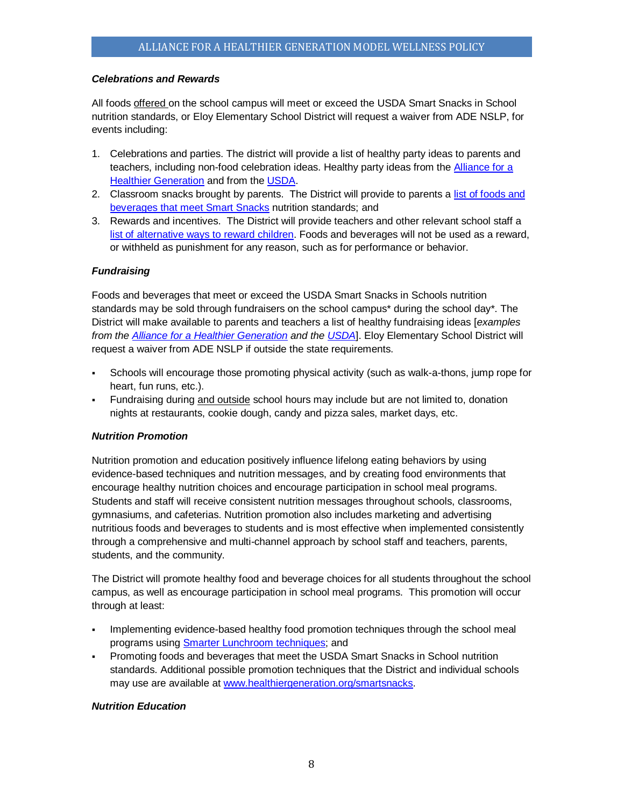# *Celebrations and Rewards*

All foods offered on the school campus will meet or exceed the USDA Smart Snacks in School nutrition standards, or Eloy Elementary School District will request a waiver from ADE NSLP, for events including:

- 1. Celebrations and parties. The district will provide a list of healthy party ideas to parents and teachers, including non-food celebration ideas. Healthy party ideas from the [Alliance for a](https://www.healthiergeneration.org/take_action/schools/snacks_and_beverages/celebrations/)  [Healthier Generation](https://www.healthiergeneration.org/take_action/schools/snacks_and_beverages/celebrations/) and from the [USDA.](http://healthymeals.nal.usda.gov/local-wellness-policy-resources/wellness-policy-elements/healthy-celebrations)
- 2. Classroom snacks brought by parents. The District will provide to parents a [list of foods and](https://www.healthiergeneration.org/live_healthier/eat_healthier/alliance_product_navigator/browse_products/?product_category_id=720)  [beverages that meet Smart Snacks](https://www.healthiergeneration.org/live_healthier/eat_healthier/alliance_product_navigator/browse_products/?product_category_id=720) nutrition standards; and
- 3. Rewards and incentives. The District will provide teachers and other relevant school staff a list of alternative ways to reward children</u>. Foods and beverages will not be used as a reward, or withheld as punishment for any reason, such as for performance or behavior.

#### *Fundraising*

Foods and beverages that meet or exceed the USDA Smart Snacks in Schools nutrition standards may be sold through fundraisers on the school campus\* during the school day\*. The District will make available to parents and teachers a list of healthy fundraising ideas [*examples from the [Alliance for a Healthier Generation](https://www.healthiergeneration.org/take_action/schools/snacks_and_beverages/fundraisers/) and the [USDA](http://healthymeals.nal.usda.gov/local-wellness-policy-resources/wellness-policy-elements/healthy-fundraising)*]. Eloy Elementary School District will request a waiver from ADE NSLP if outside the state requirements.

- Schools will encourage those promoting physical activity (such as walk-a-thons, jump rope for heart, fun runs, etc.).
- Fundraising during and outside school hours may include but are not limited to, donation nights at restaurants, cookie dough, candy and pizza sales, market days, etc.

# *Nutrition Promotion*

Nutrition promotion and education positively influence lifelong eating behaviors by using evidence-based techniques and nutrition messages, and by creating food environments that encourage healthy nutrition choices and encourage participation in school meal programs. Students and staff will receive consistent nutrition messages throughout schools, classrooms, gymnasiums, and cafeterias. Nutrition promotion also includes marketing and advertising nutritious foods and beverages to students and is most effective when implemented consistently through a comprehensive and multi-channel approach by school staff and teachers, parents, students, and the community.

The District will promote healthy food and beverage choices for all students throughout the school campus, as well as encourage participation in school meal programs. This promotion will occur through at least:

- Implementing evidence-based healthy food promotion techniques through the school meal programs using [Smarter Lunchroom techniques;](http://smarterlunchrooms.org/ideas) and
- Promoting foods and beverages that meet the USDA Smart Snacks in School nutrition standards. Additional possible promotion techniques that the District and individual schools may use are available at [www.healthiergeneration.org/smartsnacks.](http://www.healthiergeneration.org/smartsnacks)

#### *Nutrition Education*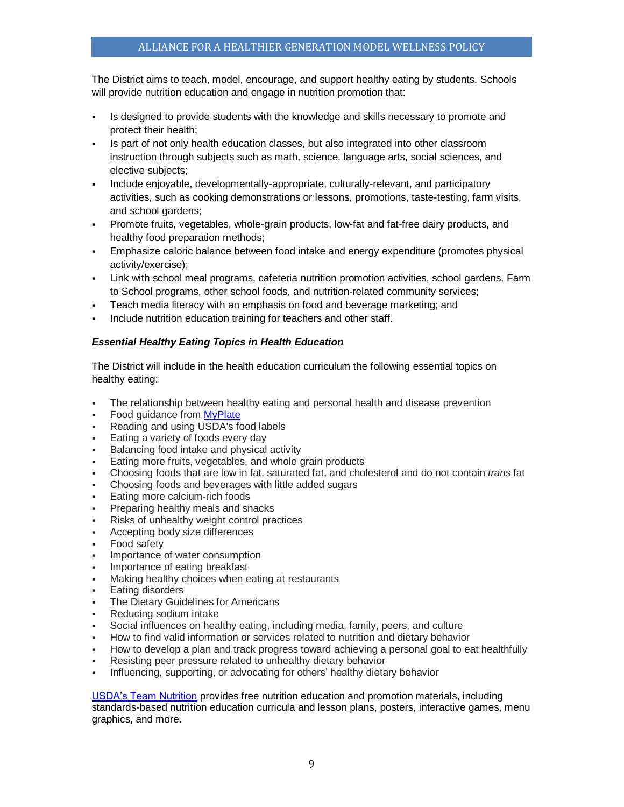The District aims to teach, model, encourage, and support healthy eating by students. Schools will provide nutrition education and engage in nutrition promotion that:

- Is designed to provide students with the knowledge and skills necessary to promote and protect their health;
- Is part of not only health education classes, but also integrated into other classroom instruction through subjects such as math, science, language arts, social sciences, and elective subjects;
- Include enjoyable, developmentally-appropriate, culturally-relevant, and participatory activities, such as cooking demonstrations or lessons, promotions, taste-testing, farm visits, and school gardens;
- Promote fruits, vegetables, whole-grain products, low-fat and fat-free dairy products, and healthy food preparation methods;
- Emphasize caloric balance between food intake and energy expenditure (promotes physical activity/exercise);
- Link with school meal programs, cafeteria nutrition promotion activities, school gardens, Farm to School programs, other school foods, and nutrition-related community services;
- Teach media literacy with an emphasis on food and beverage marketing; and
- Include nutrition education training for teachers and other staff.

# *Essential Healthy Eating Topics in Health Education*

The District will include in the health education curriculum the following essential topics on healthy eating:

- The relationship between healthy eating and personal health and disease prevention
- Food guidance fro[m MyPlate](http://www.choosemyplate.gov/)
- Reading and using USDA's food labels
- Eating a variety of foods every day
- Balancing food intake and physical activity
- Eating more fruits, vegetables, and whole grain products
- Choosing foods that are low in fat, saturated fat, and cholesterol and do not contain *trans* fat
- Choosing foods and beverages with little added sugars
- Eating more calcium-rich foods
- Preparing healthy meals and snacks
- Risks of unhealthy weight control practices
- Accepting body size differences
- Food safety
- Importance of water consumption
- Importance of eating breakfast
- Making healthy choices when eating at restaurants
- Eating disorders
- The Dietary Guidelines for Americans
- Reducing sodium intake
- Social influences on healthy eating, including media, family, peers, and culture
- How to find valid information or services related to nutrition and dietary behavior
- How to develop a plan and track progress toward achieving a personal goal to eat healthfully
- Resisting peer pressure related to unhealthy dietary behavior
- Influencing, supporting, or advocating for others' healthy dietary behavior

[USDA's Team Nutrition](http://www.fns.usda.gov/tn/team-nutrition) provides free nutrition education and promotion materials, including standards-based nutrition education curricula and lesson plans, posters, interactive games, menu graphics, and more.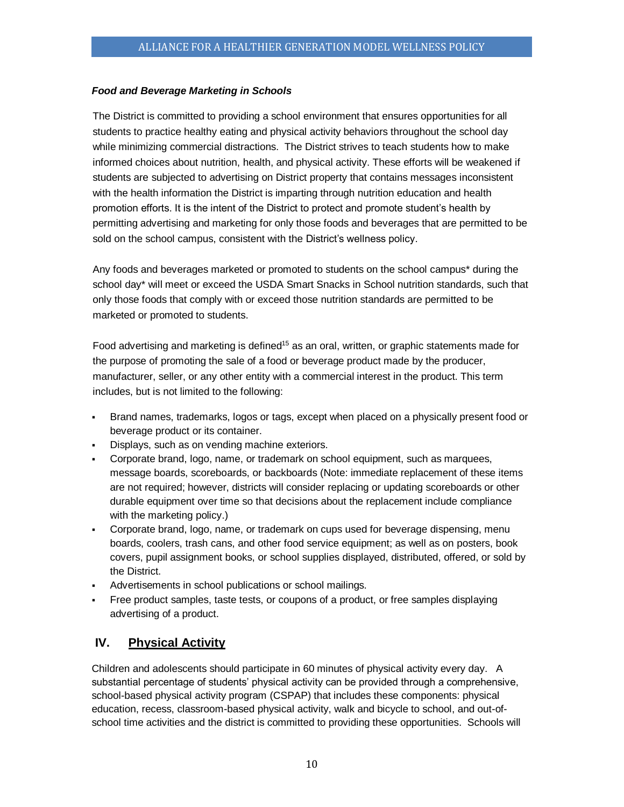# *Food and Beverage Marketing in Schools*

The District is committed to providing a school environment that ensures opportunities for all students to practice healthy eating and physical activity behaviors throughout the school day while minimizing commercial distractions. The District strives to teach students how to make informed choices about nutrition, health, and physical activity. These efforts will be weakened if students are subjected to advertising on District property that contains messages inconsistent with the health information the District is imparting through nutrition education and health promotion efforts. It is the intent of the District to protect and promote student's health by permitting advertising and marketing for only those foods and beverages that are permitted to be sold on the school campus, consistent with the District's wellness policy.

Any foods and beverages marketed or promoted to students on the school campus\* during the school day\* will meet or exceed the USDA Smart Snacks in School nutrition standards, such that only those foods that comply with or exceed those nutrition standards are permitted to be marketed or promoted to students.

Food advertising and marketing is defined<sup>15</sup> as an oral, written, or graphic statements made for the purpose of promoting the sale of a food or beverage product made by the producer, manufacturer, seller, or any other entity with a commercial interest in the product. This term includes, but is not limited to the following:

- Brand names, trademarks, logos or tags, except when placed on a physically present food or beverage product or its container.
- Displays, such as on vending machine exteriors.
- Corporate brand, logo, name, or trademark on school equipment, such as marquees, message boards, scoreboards, or backboards (Note: immediate replacement of these items are not required; however, districts will consider replacing or updating scoreboards or other durable equipment over time so that decisions about the replacement include compliance with the marketing policy.)
- Corporate brand, logo, name, or trademark on cups used for beverage dispensing, menu boards, coolers, trash cans, and other food service equipment; as well as on posters, book covers, pupil assignment books, or school supplies displayed, distributed, offered, or sold by the District.
- Advertisements in school publications or school mailings.
- Free product samples, taste tests, or coupons of a product, or free samples displaying advertising of a product.

# <span id="page-9-0"></span>**IV. Physical Activity**

Children and adolescents should participate in 60 minutes of physical activity every day. A substantial percentage of students' physical activity can be provided through a comprehensive, school-based physical activity program (CSPAP) that includes these components: physical education, recess, classroom-based physical activity, walk and bicycle to school, and out-ofschool time activities and the district is committed to providing these opportunities. Schools will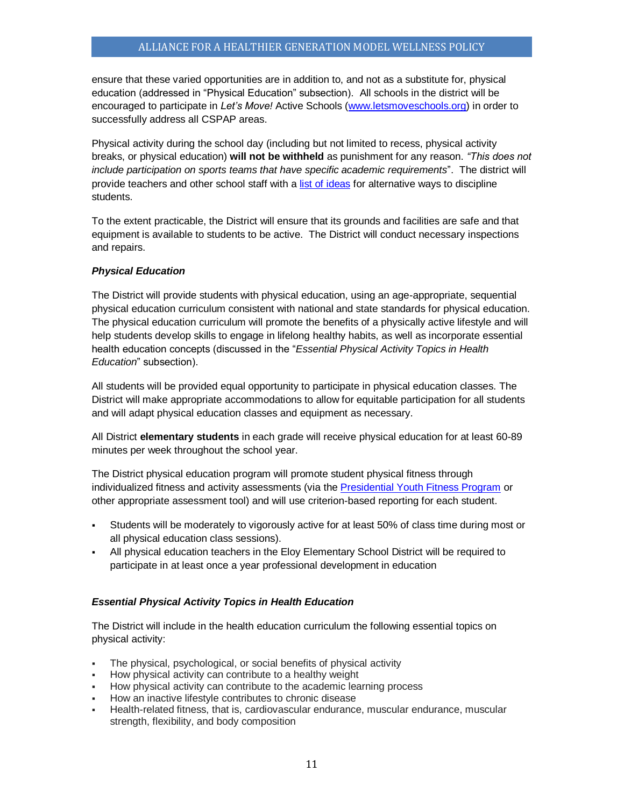ensure that these varied opportunities are in addition to, and not as a substitute for, physical education (addressed in "Physical Education" subsection). All schools in the district will be encouraged to participate in *Let's Move!* Active Schools [\(www.letsmoveschools.org\)](http://www.letsmoveschools.org/) in order to successfully address all CSPAP areas.

Physical activity during the school day (including but not limited to recess, physical activity breaks, or physical education) **will not be withheld** as punishment for any reason. *"This does not include participation on sports teams that have specific academic requirements*". The district will provide teachers and other school staff with a [list of ideas](http://cspinet.org/new/pdf/constructive_classroom_rewards.pdf) for alternative ways to discipline students.

To the extent practicable, the District will ensure that its grounds and facilities are safe and that equipment is available to students to be active. The District will conduct necessary inspections and repairs.

# *Physical Education*

The District will provide students with physical education, using an age-appropriate, sequential physical education curriculum consistent with national and state standards for physical education. The physical education curriculum will promote the benefits of a physically active lifestyle and will help students develop skills to engage in lifelong healthy habits, as well as incorporate essential health education concepts (discussed in the "*Essential Physical Activity Topics in Health Education*" subsection).

All students will be provided equal opportunity to participate in physical education classes. The District will make appropriate accommodations to allow for equitable participation for all students and will adapt physical education classes and equipment as necessary.

All District **elementary students** in each grade will receive physical education for at least 60-89 minutes per week throughout the school year.

The District physical education program will promote student physical fitness through individualized fitness and activity assessments (via the [Presidential Youth Fitness Program](http://www.pyfp.org/) or other appropriate assessment tool) and will use criterion-based reporting for each student.

- Students will be moderately to vigorously active for at least 50% of class time during most or all physical education class sessions).
- All physical education teachers in the Eloy Elementary School District will be required to participate in at least once a year professional development in education

# *Essential Physical Activity Topics in Health Education*

The District will include in the health education curriculum the following essential topics on physical activity:

- The physical, psychological, or social benefits of physical activity
- How physical activity can contribute to a healthy weight
- How physical activity can contribute to the academic learning process
- How an inactive lifestyle contributes to chronic disease
- Health-related fitness, that is, cardiovascular endurance, muscular endurance, muscular strength, flexibility, and body composition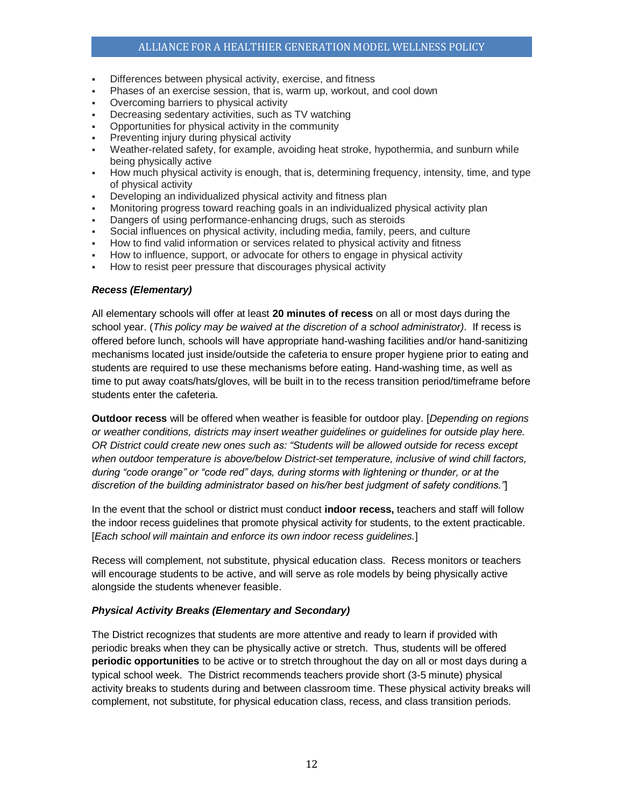# ALLIANCE FOR A HEALTHIER GENERATION MODEL WELLNESS POLICY

- Differences between physical activity, exercise, and fitness
- Phases of an exercise session, that is, warm up, workout, and cool down
- Overcoming barriers to physical activity
- Decreasing sedentary activities, such as TV watching
- Opportunities for physical activity in the community
- Preventing injury during physical activity
- Weather-related safety, for example, avoiding heat stroke, hypothermia, and sunburn while being physically active
- How much physical activity is enough, that is, determining frequency, intensity, time, and type of physical activity
- Developing an individualized physical activity and fitness plan
- Monitoring progress toward reaching goals in an individualized physical activity plan
- Dangers of using performance-enhancing drugs, such as steroids
- Social influences on physical activity, including media, family, peers, and culture
- How to find valid information or services related to physical activity and fitness
- How to influence, support, or advocate for others to engage in physical activity
- How to resist peer pressure that discourages physical activity

#### *Recess (Elementary)*

All elementary schools will offer at least **20 minutes of recess** on all or most days during the school year. (*This policy may be waived at the discretion of a school administrator)*. If recess is offered before lunch, schools will have appropriate hand-washing facilities and/or hand-sanitizing mechanisms located just inside/outside the cafeteria to ensure proper hygiene prior to eating and students are required to use these mechanisms before eating. Hand-washing time, as well as time to put away coats/hats/gloves, will be built in to the recess transition period/timeframe before students enter the cafeteria.

**Outdoor recess** will be offered when weather is feasible for outdoor play. [*Depending on regions or weather conditions, districts may insert weather guidelines or guidelines for outside play here. OR District could create new ones such as: "Students will be allowed outside for recess except when outdoor temperature is above/below District-set temperature, inclusive of wind chill factors, during "code orange" or "code red" days, during storms with lightening or thunder, or at the discretion of the building administrator based on his/her best judgment of safety conditions."*]

In the event that the school or district must conduct **indoor recess,** teachers and staff will follow the indoor recess guidelines that promote physical activity for students, to the extent practicable. [*Each school will maintain and enforce its own indoor recess guidelines.*]

Recess will complement, not substitute, physical education class. Recess monitors or teachers will encourage students to be active, and will serve as role models by being physically active alongside the students whenever feasible.

#### *Physical Activity Breaks (Elementary and Secondary)*

The District recognizes that students are more attentive and ready to learn if provided with periodic breaks when they can be physically active or stretch. Thus, students will be offered **periodic opportunities** to be active or to stretch throughout the day on all or most days during a typical school week. The District recommends teachers provide short (3-5 minute) physical activity breaks to students during and between classroom time. These physical activity breaks will complement, not substitute, for physical education class, recess, and class transition periods.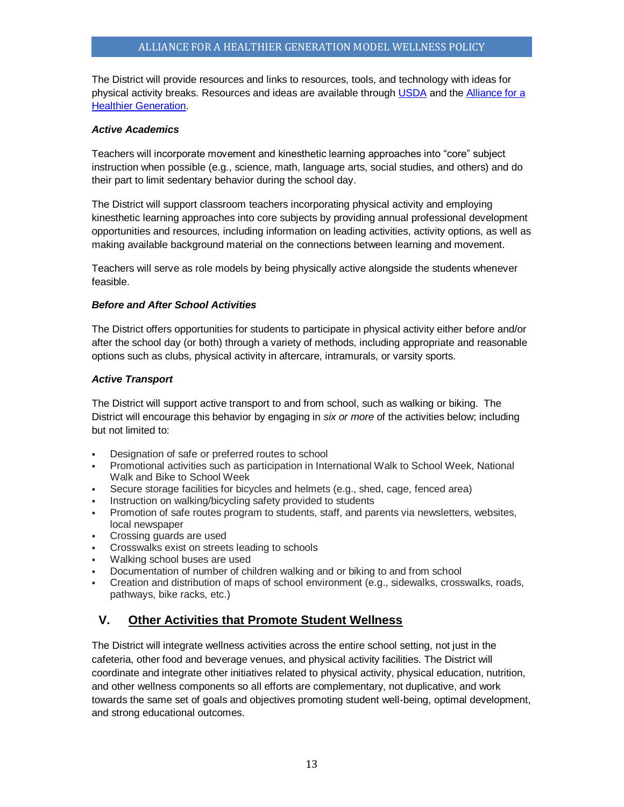The District will provide resources and links to resources, tools, and technology with ideas for physical activity breaks. Resources and ideas are available throug[h USDA](http://healthymeals.nal.usda.gov/resource-library/physical-activity-school-aged-children/activities-and-tools) and th[e Alliance for a](https://www.healthiergeneration.org/take_action/schools/physical_activity/physical_activities/)  [Healthier Generation.](https://www.healthiergeneration.org/take_action/schools/physical_activity/physical_activities/)

### *Active Academics*

Teachers will incorporate movement and kinesthetic learning approaches into "core" subject instruction when possible (e.g., science, math, language arts, social studies, and others) and do their part to limit sedentary behavior during the school day.

The District will support classroom teachers incorporating physical activity and employing kinesthetic learning approaches into core subjects by providing annual professional development opportunities and resources, including information on leading activities, activity options, as well as making available background material on the connections between learning and movement.

Teachers will serve as role models by being physically active alongside the students whenever feasible.

#### *Before and After School Activities*

The District offers opportunities for students to participate in physical activity either before and/or after the school day (or both) through a variety of methods, including appropriate and reasonable options such as clubs, physical activity in aftercare, intramurals, or varsity sports.

#### *Active Transport*

The District will support active transport to and from school, such as walking or biking. The District will encourage this behavior by engaging in *six or more* of the activities below; including but not limited to:

- Designation of safe or preferred routes to school
- Promotional activities such as participation in International Walk to School Week, National Walk and Bike to School Week
- Secure storage facilities for bicycles and helmets (e.g., shed, cage, fenced area)
- Instruction on walking/bicycling safety provided to students
- Promotion of safe routes program to students, staff, and parents via newsletters, websites, local newspaper
- Crossing guards are used
- **Crosswalks exist on streets leading to schools**
- Walking school buses are used
- Documentation of number of children walking and or biking to and from school
- Creation and distribution of maps of school environment (e.g., sidewalks, crosswalks, roads, pathways, bike racks, etc.)

# <span id="page-12-0"></span>**V. Other Activities that Promote Student Wellness**

The District will integrate wellness activities across the entire school setting, not just in the cafeteria, other food and beverage venues, and physical activity facilities. The District will coordinate and integrate other initiatives related to physical activity, physical education, nutrition, and other wellness components so all efforts are complementary, not duplicative, and work towards the same set of goals and objectives promoting student well-being, optimal development, and strong educational outcomes.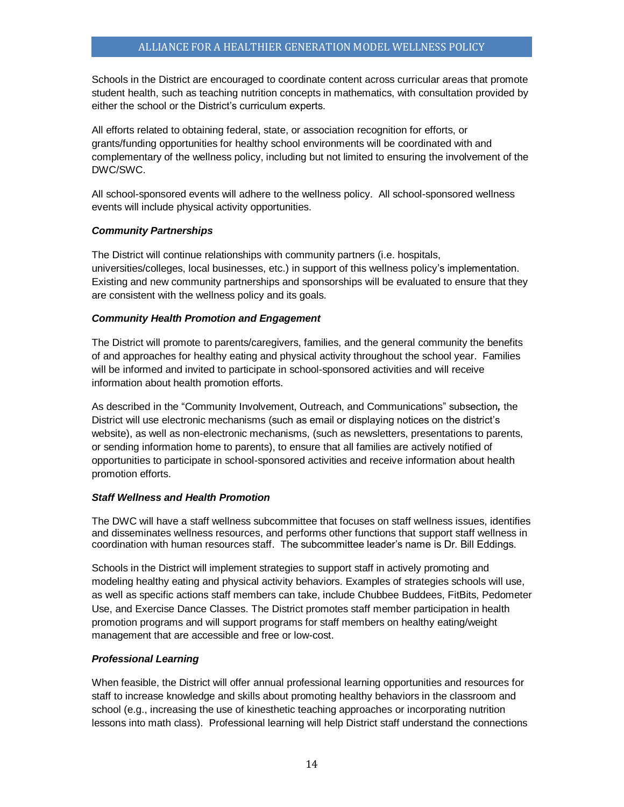Schools in the District are encouraged to coordinate content across curricular areas that promote student health, such as teaching nutrition concepts in mathematics, with consultation provided by either the school or the District's curriculum experts.

All efforts related to obtaining federal, state, or association recognition for efforts, or grants/funding opportunities for healthy school environments will be coordinated with and complementary of the wellness policy, including but not limited to ensuring the involvement of the DWC/SWC.

All school-sponsored events will adhere to the wellness policy. All school-sponsored wellness events will include physical activity opportunities.

# *Community Partnerships*

The District will continue relationships with community partners (i.e. hospitals, universities/colleges, local businesses, etc.) in support of this wellness policy's implementation. Existing and new community partnerships and sponsorships will be evaluated to ensure that they are consistent with the wellness policy and its goals.

# *Community Health Promotion and Engagement*

The District will promote to parents/caregivers, families, and the general community the benefits of and approaches for healthy eating and physical activity throughout the school year. Families will be informed and invited to participate in school-sponsored activities and will receive information about health promotion efforts.

As described in the "Community Involvement, Outreach, and Communications" subsection*,* the District will use electronic mechanisms (such as email or displaying notices on the district's website), as well as non-electronic mechanisms, (such as newsletters, presentations to parents, or sending information home to parents), to ensure that all families are actively notified of opportunities to participate in school-sponsored activities and receive information about health promotion efforts.

# *Staff Wellness and Health Promotion*

The DWC will have a staff wellness subcommittee that focuses on staff wellness issues, identifies and disseminates wellness resources, and performs other functions that support staff wellness in coordination with human resources staff. The subcommittee leader's name is Dr. Bill Eddings.

Schools in the District will implement strategies to support staff in actively promoting and modeling healthy eating and physical activity behaviors. Examples of strategies schools will use, as well as specific actions staff members can take, include Chubbee Buddees, FitBits, Pedometer Use, and Exercise Dance Classes. The District promotes staff member participation in health promotion programs and will support programs for staff members on healthy eating/weight management that are accessible and free or low-cost.

# *Professional Learning*

When feasible, the District will offer annual professional learning opportunities and resources for staff to increase knowledge and skills about promoting healthy behaviors in the classroom and school (e.g., increasing the use of kinesthetic teaching approaches or incorporating nutrition lessons into math class). Professional learning will help District staff understand the connections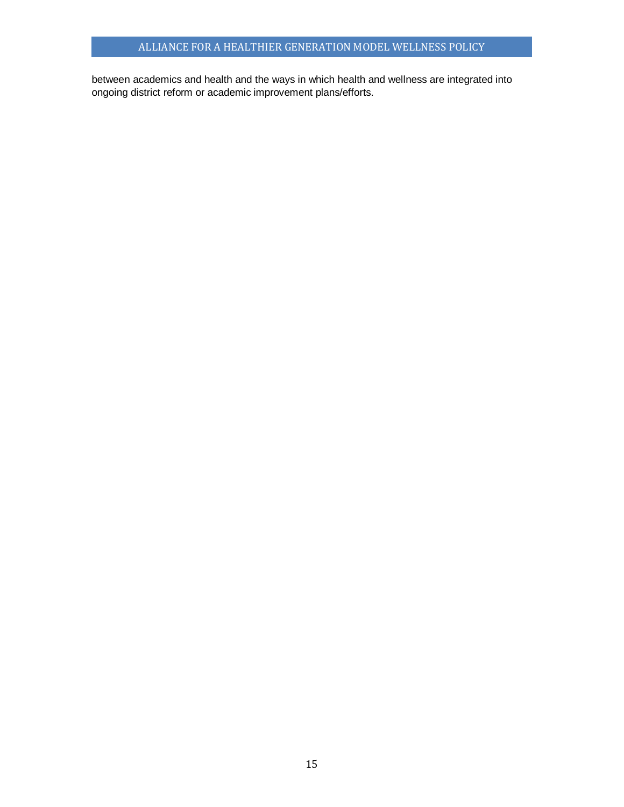between academics and health and the ways in which health and wellness are integrated into ongoing district reform or academic improvement plans/efforts.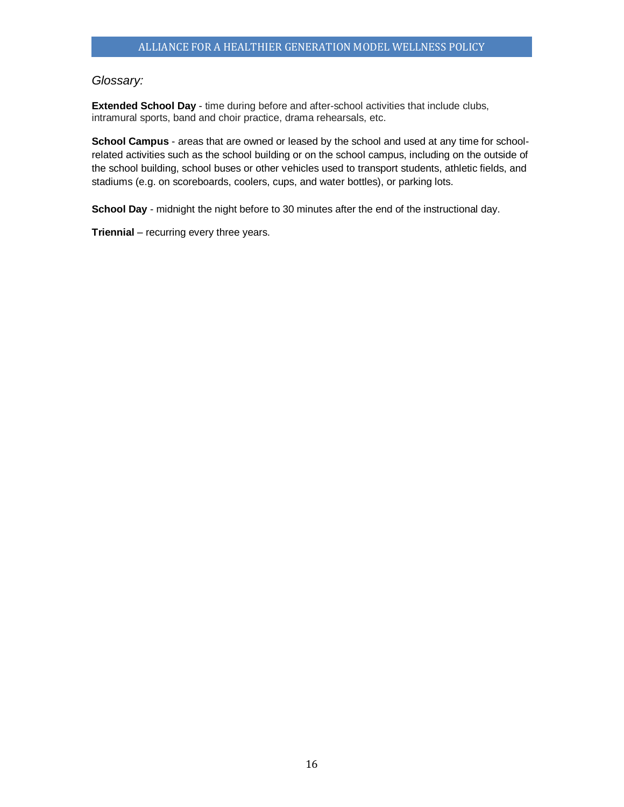# <span id="page-15-0"></span>*Glossary:*

**Extended School Day** - time during before and after-school activities that include clubs, intramural sports, band and choir practice, drama rehearsals, etc.

**School Campus** - areas that are owned or leased by the school and used at any time for schoolrelated activities such as the school building or on the school campus, including on the outside of the school building, school buses or other vehicles used to transport students, athletic fields, and stadiums (e.g. on scoreboards, coolers, cups, and water bottles), or parking lots.

**School Day** - midnight the night before to 30 minutes after the end of the instructional day.

**Triennial** – recurring every three years.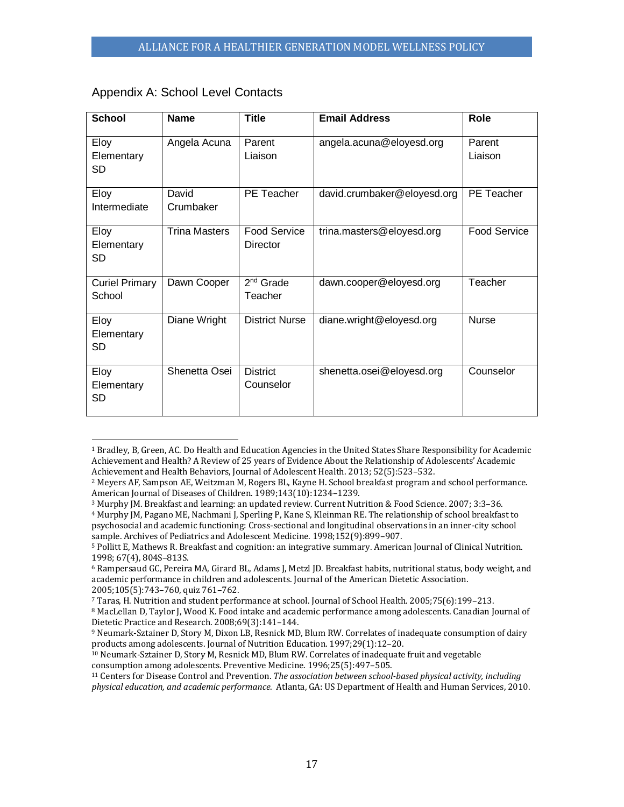| <b>School</b>                   | <b>Name</b>          | <b>Title</b>                    | <b>Email Address</b>        | <b>Role</b>         |
|---------------------------------|----------------------|---------------------------------|-----------------------------|---------------------|
| Eloy<br>Elementary<br><b>SD</b> | Angela Acuna         | Parent<br>Liaison               | angela.acuna@eloyesd.org    | Parent<br>Liaison   |
| Eloy<br>Intermediate            | David<br>Crumbaker   | <b>PE</b> Teacher               | david.crumbaker@eloyesd.org | PE Teacher          |
| Eloy<br>Elementary<br>SD        | <b>Trina Masters</b> | <b>Food Service</b><br>Director | trina.masters@eloyesd.org   | <b>Food Service</b> |
| <b>Curiel Primary</b><br>School | Dawn Cooper          | $2nd$ Grade<br>Teacher          | dawn.cooper@eloyesd.org     | Teacher             |
| Eloy<br>Elementary<br>SD        | Diane Wright         | <b>District Nurse</b>           | diane.wright@eloyesd.org    | <b>Nurse</b>        |
| Eloy<br>Elementary<br><b>SD</b> | Shenetta Osei        | <b>District</b><br>Counselor    | shenetta.osei@eloyesd.org   | Counselor           |

# <span id="page-16-0"></span>Appendix A: School Level Contacts

l

<sup>4</sup> Murphy JM, Pagano ME, Nachmani J, Sperling P, Kane S, Kleinman RE. The relationship of school breakfast to psychosocial and academic functioning: Cross-sectional and longitudinal observations in an inner-city school sample. Archives of Pediatrics and Adolescent Medicine. 1998;152(9):899–907.

<sup>1</sup> Bradley, B, Green, AC. Do Health and Education Agencies in the United States Share Responsibility for Academic Achievement and Health? A Review of 25 years of Evidence About the Relationship of Adolescents' Academic Achievement and Health Behaviors, Journal of Adolescent Health. 2013; 52(5):523–532.

<sup>2</sup> Meyers AF, Sampson AE, Weitzman M, Rogers BL, Kayne H. School breakfast program and school performance. American Journal of Diseases of Children. 1989;143(10):1234–1239.

<sup>3</sup> Murphy JM. Breakfast and learning: an updated review. Current Nutrition & Food Science. 2007; 3:3–36.

<sup>5</sup> Pollitt E, Mathews R. Breakfast and cognition: an integrative summary. American Journal of Clinical Nutrition. 1998; 67(4), 804S–813S.

<sup>6</sup> Rampersaud GC, Pereira MA, Girard BL, Adams J, Metzl JD. Breakfast habits, nutritional status, body weight, and academic performance in children and adolescents. Journal of the American Dietetic Association. 2005;105(5):743–760, quiz 761–762.

<sup>7</sup> Taras, H. Nutrition and student performance at school. Journal of School Health. 2005;75(6):199–213.

<sup>8</sup> MacLellan D, Taylor J, Wood K. Food intake and academic performance among adolescents. Canadian Journal of Dietetic Practice and Research. 2008;69(3):141–144.

<sup>9</sup> Neumark-Sztainer D, Story M, Dixon LB, Resnick MD, Blum RW. Correlates of inadequate consumption of dairy products among adolescents. Journal of Nutrition Education. 1997;29(1):12–20.

<sup>10</sup> Neumark-Sztainer D, Story M, Resnick MD, Blum RW. Correlates of inadequate fruit and vegetable consumption among adolescents. Preventive Medicine. 1996;25(5):497–505.

<sup>11</sup> Centers for Disease Control and Prevention. *The association between school-based physical activity, including physical education, and academic performance*. Atlanta, GA: US Department of Health and Human Services, 2010.